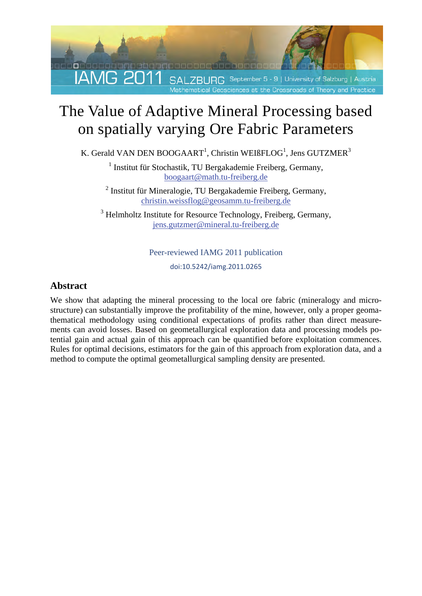

# The Value of Adaptive Mineral Processing based on spatially varying Ore Fabric Parameters

K. Gerald VAN DEN BOOGAART<sup>1</sup>, Christin WEIßFLOG<sup>1</sup>, Jens GUTZMER<sup>3</sup>

<sup>1</sup> Institut für Stochastik, TU Bergakademie Freiberg, Germany, boogaart@math.tu-freiberg.de

<sup>2</sup> Institut für Mineralogie, TU Bergakademie Freiberg, Germany, christin.weissflog@geosamm.tu-freiberg.de

<sup>3</sup> Helmholtz Institute for Resource Technology, Freiberg, Germany, jens.gutzmer@mineral.tu-freiberg.de

#### Peer-reviewed IAMG 2011 publication

doi:10.5242/iamg.2011.0265

### **Abstract**

We show that adapting the mineral processing to the local ore fabric (mineralogy and microstructure) can substantially improve the profitability of the mine, however, only a proper geomathematical methodology using conditional expectations of profits rather than direct measurements can avoid losses. Based on geometallurgical exploration data and processing models potential gain and actual gain of this approach can be quantified before exploitation commences. Rules for optimal decisions, estimators for the gain of this approach from exploration data, and a method to compute the optimal geometallurgical sampling density are presented.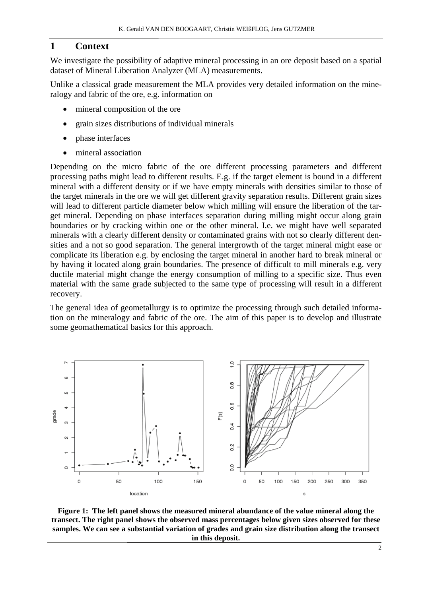## **1 Context**

We investigate the possibility of adaptive mineral processing in an ore deposit based on a spatial dataset of Mineral Liberation Analyzer (MLA) measurements.

Unlike a classical grade measurement the MLA provides very detailed information on the mineralogy and fabric of the ore, e.g. information on

- mineral composition of the ore
- grain sizes distributions of individual minerals
- phase interfaces
- mineral association

Depending on the micro fabric of the ore different processing parameters and different processing paths might lead to different results. E.g. if the target element is bound in a different mineral with a different density or if we have empty minerals with densities similar to those of the target minerals in the ore we will get different gravity separation results. Different grain sizes will lead to different particle diameter below which milling will ensure the liberation of the target mineral. Depending on phase interfaces separation during milling might occur along grain boundaries or by cracking within one or the other mineral. I.e. we might have well separated minerals with a clearly different density or contaminated grains with not so clearly different densities and a not so good separation. The general intergrowth of the target mineral might ease or complicate its liberation e.g. by enclosing the target mineral in another hard to break mineral or by having it located along grain boundaries. The presence of difficult to mill minerals e.g. very ductile material might change the energy consumption of milling to a specific size. Thus even material with the same grade subjected to the same type of processing will result in a different recovery.

The general idea of geometallurgy is to optimize the processing through such detailed information on the mineralogy and fabric of the ore. The aim of this paper is to develop and illustrate some geomathematical basics for this approach.



**Figure 1: The left panel shows the measured mineral abundance of the value mineral along the transect. The right panel shows the observed mass percentages below given sizes observed for these samples. We can see a substantial variation of grades and grain size distribution along the transect in this deposit.**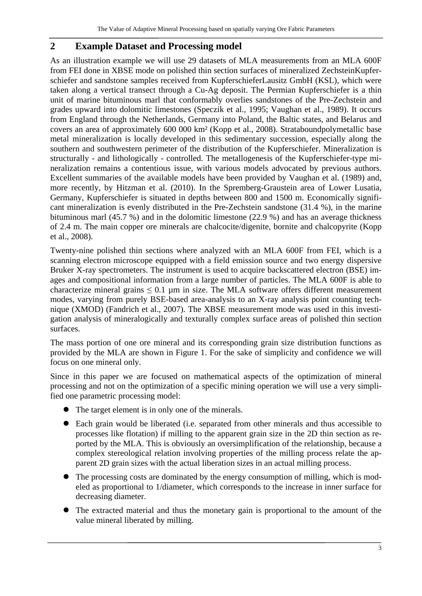## **2 Example Dataset and Processing model**

As an illustration example we will use 29 datasets of MLA measurements from an MLA 600F from FEI done in XBSE mode on polished thin section surfaces of mineralized ZechsteinKupferschiefer and sandstone samples received from KupferschieferLausitz GmbH (KSL), which were taken along a vertical transect through a Cu-Ag deposit. The Permian Kupferschiefer is a thin unit of marine bituminous marl that conformably overlies sandstones of the Pre-Zechstein and grades upward into dolomitic limestones (Speczik et al., 1995; Vaughan et al., 1989). It occurs from England through the Netherlands, Germany into Poland, the Baltic states, and Belarus and covers an area of approximately 600 000 km² (Kopp et al., 2008). Strataboundpolymetallic base metal mineralization is locally developed in this sedimentary succession, especially along the southern and southwestern perimeter of the distribution of the Kupferschiefer. Mineralization is structurally - and lithologically - controlled. The metallogenesis of the Kupferschiefer-type mineralization remains a contentious issue, with various models advocated by previous authors. Excellent summaries of the available models have been provided by Vaughan et al. (1989) and, more recently, by Hitzman et al. (2010). In the Spremberg-Graustein area of Lower Lusatia, Germany, Kupferschiefer is situated in depths between 800 and 1500 m. Economically significant mineralization is evenly distributed in the Pre-Zechstein sandstone (31.4 %), in the marine bituminous marl (45.7 %) and in the dolomitic limestone (22.9 %) and has an average thickness of 2.4 m. The main copper ore minerals are chalcocite/digenite, bornite and chalcopyrite (Kopp et al., 2008).

Twenty-nine polished thin sections where analyzed with an MLA 600F from FEI, which is a scanning electron microscope equipped with a field emission source and two energy dispersive Bruker X-ray spectrometers. The instrument is used to acquire backscattered electron (BSE) images and compositional information from a large number of particles. The MLA 600F is able to characterize mineral grains  $\leq 0.1$  µm in size. The MLA software offers different measurement modes, varying from purely BSE-based area-analysis to an X-ray analysis point counting technique (XMOD) (Fandrich et al., 2007). The XBSE measurement mode was used in this investigation analysis of mineralogically and texturally complex surface areas of polished thin section surfaces.

The mass portion of one ore mineral and its corresponding grain size distribution functions as provided by the MLA are shown in Figure 1. For the sake of simplicity and confidence we will focus on one mineral only.

Since in this paper we are focused on mathematical aspects of the optimization of mineral processing and not on the optimization of a specific mining operation we will use a very simplified one parametric processing model:

- The target element is in only one of the minerals.
- Each grain would be liberated (i.e. separated from other minerals and thus accessible to processes like flotation) if milling to the apparent grain size in the 2D thin section as reported by the MLA. This is obviously an oversimplification of the relationship, because a complex stereological relation involving properties of the milling process relate the apparent 2D grain sizes with the actual liberation sizes in an actual milling process.
- The processing costs are dominated by the energy consumption of milling, which is modeled as proportional to 1/diameter, which corresponds to the increase in inner surface for decreasing diameter.
- The extracted material and thus the monetary gain is proportional to the amount of the value mineral liberated by milling.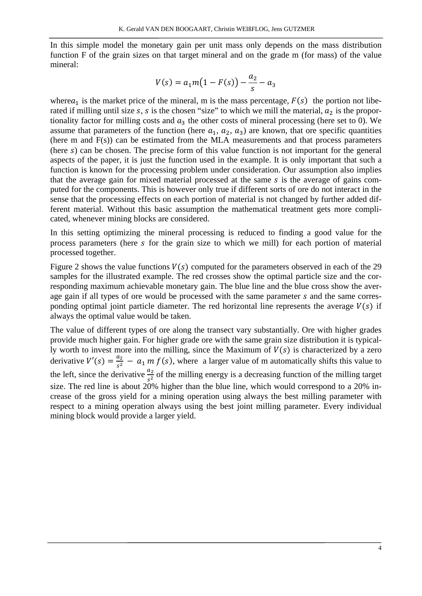In this simple model the monetary gain per unit mass only depends on the mass distribution function F of the grain sizes on that target mineral and on the grade m (for mass) of the value mineral:

$$
V(s) = a_1 m (1 - F(s)) - \frac{a_2}{s} - a_3
$$

where $a_1$  is the market price of the mineral, m is the mass percentage,  $F(s)$  the portion not liberated if milling until size  $s$ ,  $s$  is the chosen "size" to which we mill the material,  $a_2$  is the proportionality factor for milling costs and  $a_3$  the other costs of mineral processing (here set to 0). We assume that parameters of the function (here  $a_1, a_2, a_3$ ) are known, that ore specific quantities (here m and F(s)) can be estimated from the MLA measurements and that process parameters (here  $s$ ) can be chosen. The precise form of this value function is not important for the general aspects of the paper, it is just the function used in the example. It is only important that such a function is known for the processing problem under consideration. Our assumption also implies that the average gain for mixed material processed at the same  $s$  is the average of gains computed for the components. This is however only true if different sorts of ore do not interact in the sense that the processing effects on each portion of material is not changed by further added different material. Without this basic assumption the mathematical treatment gets more complicated, whenever mining blocks are considered.

In this setting optimizing the mineral processing is reduced to finding a good value for the process parameters (here s for the grain size to which we mill) for each portion of material processed together.

Figure 2 shows the value functions  $V(s)$  computed for the parameters observed in each of the 29 samples for the illustrated example. The red crosses show the optimal particle size and the corresponding maximum achievable monetary gain. The blue line and the blue cross show the average gain if all types of ore would be processed with the same parameter s and the same corresponding optimal joint particle diameter. The red horizontal line represents the average  $V(s)$  if always the optimal value would be taken.

The value of different types of ore along the transect vary substantially. Ore with higher grades provide much higher gain. For higher grade ore with the same grain size distribution it is typically worth to invest more into the milling, since the Maximum of  $V(s)$  is characterized by a zero derivative  $V'(s) = \frac{a_2}{s^2} - a_1 m f(s)$ , where a larger value of m automatically shifts this value to the left, since the derivative  $\frac{a_2}{s^2}$  of the milling energy is a decreasing function of the milling target size. The red line is about 20% higher than the blue line, which would correspond to a 20% increase of the gross yield for a mining operation using always the best milling parameter with respect to a mining operation always using the best joint milling parameter. Every individual mining block would provide a larger yield.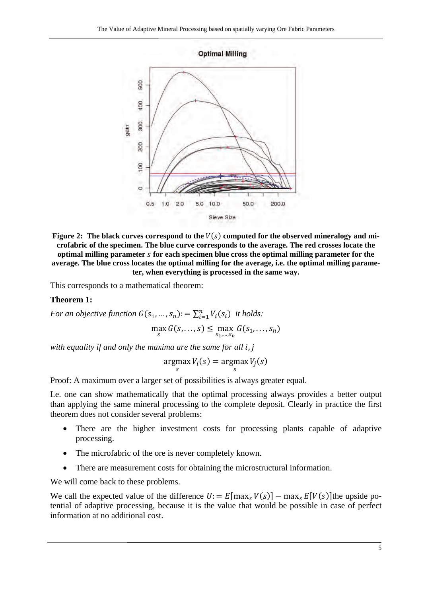

Figure 2: The black curves correspond to the  $V(s)$  computed for the observed mineralogy and mi**crofabric of the specimen. The blue curve corresponds to the average. The red crosses locate the optimal milling parameter** ݏ **for each specimen blue cross the optimal milling parameter for the average. The blue cross locates the optimal milling for the average, i.e. the optimal milling parameter, when everything is processed in the same way.** 

This corresponds to a mathematical theorem:

#### **Theorem 1:**

*For an objective function*  $G(s_1, ..., s_n)$ : =  $\sum_{i=1}^n V_i(s_i)$  *it holds:* 

$$
\max_{s} G(s, \ldots, s) \leq \max_{s_1, \ldots, s_n} G(s_1, \ldots, s_n)
$$

*with equality if and only the maxima are the same for all i, j* 

$$
\underset{s}{\operatorname{argmax}} V_i(s) = \underset{s}{\operatorname{argmax}} V_j(s)
$$

Proof: A maximum over a larger set of possibilities is always greater equal.

I.e. one can show mathematically that the optimal processing always provides a better output than applying the same mineral processing to the complete deposit. Clearly in practice the first theorem does not consider several problems:

- There are the higher investment costs for processing plants capable of adaptive processing.
- The microfabric of the ore is never completely known.
- There are measurement costs for obtaining the microstructural information.

We will come back to these problems.

We call the expected value of the difference  $U = E[\max_{S} V(s)] - \max_{S} E[V(s)]$  the upside potential of adaptive processing, because it is the value that would be possible in case of perfect information at no additional cost.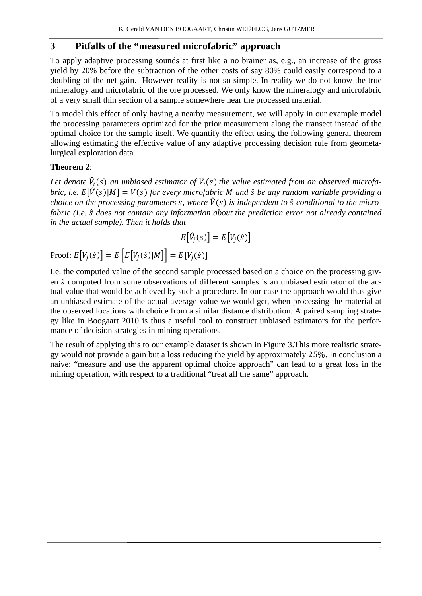## **3 Pitfalls of the "measured microfabric" approach**

To apply adaptive processing sounds at first like a no brainer as, e.g., an increase of the gross yield by 20% before the subtraction of the other costs of say 80% could easily correspond to a doubling of the net gain. However reality is not so simple. In reality we do not know the true mineralogy and microfabric of the ore processed. We only know the mineralogy and microfabric of a very small thin section of a sample somewhere near the processed material.

To model this effect of only having a nearby measurement, we will apply in our example model the processing parameters optimized for the prior measurement along the transect instead of the optimal choice for the sample itself. We quantify the effect using the following general theorem allowing estimating the effective value of any adaptive processing decision rule from geometalurgical exploration data.

#### **Theorem 2**:

Let denote  $\hat{V}_i(s)$  an unbiased estimator of  $V_i(s)$  the value estimated from an observed microfa*bric, i.e.*  $E[\hat{V}(s)|M] = V(s)$  for every microfabric M and  $\hat{s}$  be any random variable providing a *choice on the processing parameters s, where*  $\hat{V}(s)$  *is independent to*  $\hat{s}$  *conditional to the micro*fabric (I.e.  $\hat{s}$  does not contain any information about the prediction error not already contained *in the actual sample). Then it holds that* 

$$
E[\hat{V}_j(s)] = E[V_j(\hat{s})]
$$

Proof:  $E[V_j(\hat{s})] = E[E[V_j(\hat{s})|M]] = E[V_j(\hat{s})]$ 

I.e. the computed value of the second sample processed based on a choice on the processing given  $\hat{s}$  computed from some observations of different samples is an unbiased estimator of the actual value that would be achieved by such a procedure. In our case the approach would thus give an unbiased estimate of the actual average value we would get, when processing the material at the observed locations with choice from a similar distance distribution. A paired sampling strategy like in Boogaart 2010 is thus a useful tool to construct unbiased estimators for the performance of decision strategies in mining operations.

The result of applying this to our example dataset is shown in Figure 3.This more realistic strategy would not provide a gain but a loss reducing the yield by approximately 25%. In conclusion a naive: "measure and use the apparent optimal choice approach" can lead to a great loss in the mining operation, with respect to a traditional "treat all the same" approach.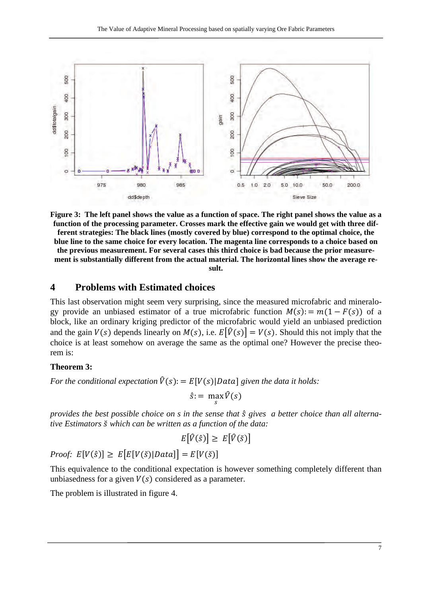

**Figure 3: The left panel shows the value as a function of space. The right panel shows the value as a function of the processing parameter. Crosses mark the effective gain we would get with three different strategies: The black lines (mostly covered by blue) correspond to the optimal choice, the blue line to the same choice for every location. The magenta line corresponds to a choice based on the previous measurement. For several cases this third choice is bad because the prior measurement is substantially different from the actual material. The horizontal lines show the average result.** 

#### **4 Problems with Estimated choices**

This last observation might seem very surprising, since the measured microfabric and mineralogy provide an unbiased estimator of a true microfabric function  $M(s) = m(1 - F(s))$  of a block, like an ordinary kriging predictor of the microfabric would yield an unbiased prediction and the gain  $V(s)$  depends linearly on  $M(s)$ , i.e.  $E[\hat{V}(s)] = V(s)$ . Should this not imply that the choice is at least somehow on average the same as the optimal one? However the precise theorem is:

#### **Theorem 3:**

*For the conditional expectation*  $\hat{V}(s) = E[V(s)]$  *Data given the data it holds:* 

 $\hat{s}$ : = max  $\hat{V}(s)$ 

*provides the best possible choice on s in the sense that*  $\hat{s}$  gives a better choice than all alterna*tive Estimators* ݏ̆ *which can be written as a function of the data:* 

$$
E[\hat{V}(\hat{s})] \ge E[\hat{V}(\check{s})]
$$

*Proof:*  $E[V(\hat{s})] \geq E[E[V(\check{s})]Data] = E[V(\check{s})]$ 

This equivalence to the conditional expectation is however something completely different than unbiasedness for a given  $V(s)$  considered as a parameter.

The problem is illustrated in figure 4.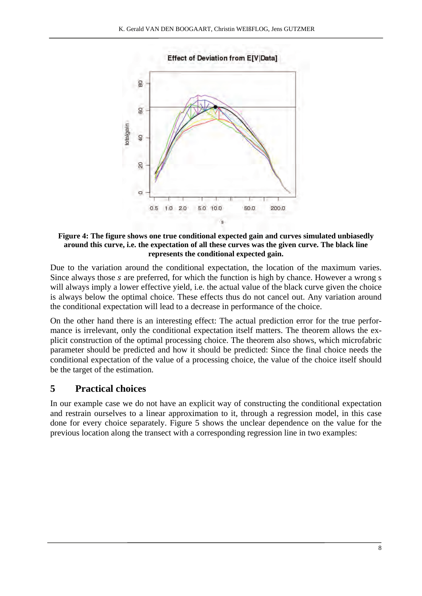**Effect of Deviation from E[V|Data]** 



**Figure 4: The figure shows one true conditional expected gain and curves simulated unbiasedly around this curve, i.e. the expectation of all these curves was the given curve. The black line represents the conditional expected gain.** 

Due to the variation around the conditional expectation, the location of the maximum varies. Since always those s are preferred, for which the function is high by chance. However a wrong s will always imply a lower effective yield, i.e. the actual value of the black curve given the choice is always below the optimal choice. These effects thus do not cancel out. Any variation around the conditional expectation will lead to a decrease in performance of the choice.

On the other hand there is an interesting effect: The actual prediction error for the true performance is irrelevant, only the conditional expectation itself matters. The theorem allows the explicit construction of the optimal processing choice. The theorem also shows, which microfabric parameter should be predicted and how it should be predicted: Since the final choice needs the conditional expectation of the value of a processing choice, the value of the choice itself should be the target of the estimation.

## **5 Practical choices**

In our example case we do not have an explicit way of constructing the conditional expectation and restrain ourselves to a linear approximation to it, through a regression model, in this case done for every choice separately. Figure 5 shows the unclear dependence on the value for the previous location along the transect with a corresponding regression line in two examples: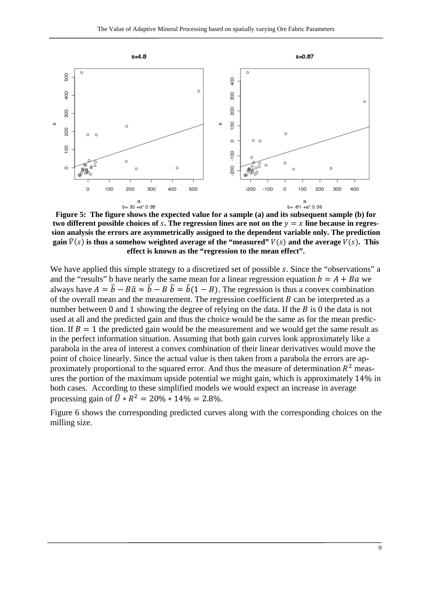

**Figure 5: The figure shows the expected value for a sample (a) and its subsequent sample (b) for**  two different possible choices of  $s$ . The regression lines are not on the  $y = x$  line because in regres**sion analysis the errors are asymmetrically assigned to the dependent variable only. The prediction gain**  $\hat{V}(s)$  is thus a somehow weighted average of the "measured"  $V(s)$  and the average  $V(s)$ . This **effect is known as the "regression to the mean effect".** 

We have applied this simple strategy to a discretized set of possible s. Since the "observations" a and the "results" b have nearly the same mean for a linear regression equation  $b = A + Ba$  we always have  $A = \overline{b} - B\overline{a} \approx \overline{b} - B\overline{b} = \overline{b}(1 - B)$ . The regression is thus a convex combination of the overall mean and the measurement. The regression coefficient  $B$  can be interpreted as a number between 0 and 1 showing the degree of relying on the data. If the  $\hat{B}$  is 0 the data is not used at all and the predicted gain and thus the choice would be the same as for the mean prediction. If  $B = 1$  the predicted gain would be the measurement and we would get the same result as in the perfect information situation. Assuming that both gain curves look approximately like a parabola in the area of interest a convex combination of their linear derivatives would move the point of choice linearly. Since the actual value is then taken from a parabola the errors are approximately proportional to the squared error. And thus the measure of determination  $R<sup>2</sup>$  measures the portion of the maximum upside potential we might gain, which is approximately 14% in both cases. According to these simplified models we would expect an increase in average processing gain of  $\hat{U} * R^2 = 20\% * 14\% = 2.8\%.$ 

Figure 6 shows the corresponding predicted curves along with the corresponding choices on the milling size.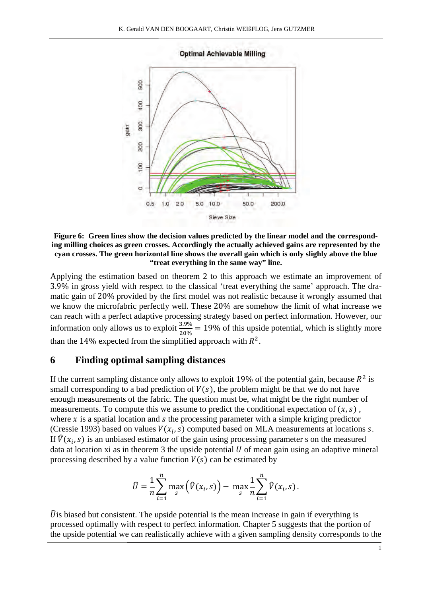



**Figure 6: Green lines show the decision values predicted by the linear model and the corresponding milling choices as green crosses. Accordingly the actually achieved gains are represented by the cyan crosses. The green horizontal line shows the overall gain which is only slighly above the blue "treat everything in the same way" line.** 

Applying the estimation based on theorem 2 to this approach we estimate an improvement of 3.9% in gross yield with respect to the classical 'treat everything the same' approach. The dramatic gain of 20% provided by the first model was not realistic because it wrongly assumed that we know the microfabric perfectly well. These 20% are somehow the limit of what increase we can reach with a perfect adaptive processing strategy based on perfect information. However, our information only allows us to exploit  $\frac{3.9\%}{20\%} = 19\%$  of this upside potential, which is slightly more than the 14% expected from the simplified approach with  $R^2$ .

#### **6 Finding optimal sampling distances**

If the current sampling distance only allows to exploit 19% of the potential gain, because  $R^2$  is small corresponding to a bad prediction of  $V(s)$ , the problem might be that we do not have enough measurements of the fabric. The question must be, what might be the right number of measurements. To compute this we assume to predict the conditional expectation of  $(x, s)$ , where  $x$  is a spatial location and  $s$  the processing parameter with a simple kriging predictor (Cressie 1993) based on values  $V(x_i, s)$  computed based on MLA measurements at locations s. If  $\hat{V}(x_i, s)$  is an unbiased estimator of the gain using processing parameter s on the measured data at location xi as in theorem 3 the upside potential  $U$  of mean gain using an adaptive mineral processing described by a value function  $V(s)$  can be estimated by

$$
\hat{U} = \frac{1}{n} \sum_{i=1}^{n} \max_{s} (\hat{V}(x_i, s)) - \max_{s} \frac{1}{n} \sum_{i=1}^{n} \hat{V}(x_i, s).
$$

 $\hat{U}$  is biased but consistent. The upside potential is the mean increase in gain if everything is processed optimally with respect to perfect information. Chapter 5 suggests that the portion of the upside potential we can realistically achieve with a given sampling density corresponds to the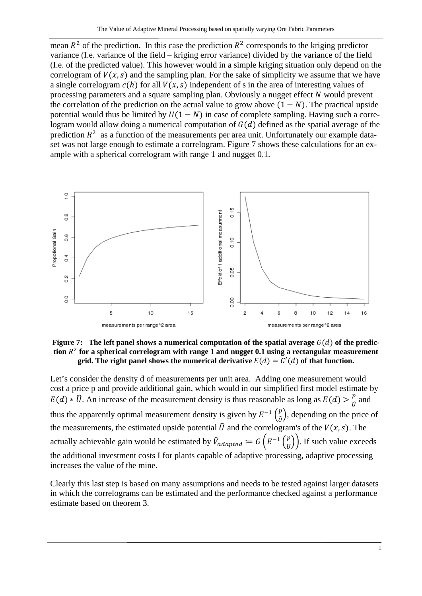mean  $R^2$  of the prediction. In this case the prediction  $R^2$  corresponds to the kriging predictor variance (I.e. variance of the field – kriging error variance) divided by the variance of the field (I.e. of the predicted value). This however would in a simple kriging situation only depend on the correlogram of  $V(x, s)$  and the sampling plan. For the sake of simplicity we assume that we have a single correlogram  $c(h)$  for all  $V(x, s)$  independent of s in the area of interesting values of processing parameters and a square sampling plan. Obviously a nugget effect  $N$  would prevent the correlation of the prediction on the actual value to grow above  $(1 - N)$ . The practical upside potential would thus be limited by  $U(1 - N)$  in case of complete sampling. Having such a correlogram would allow doing a numerical computation of  $G(d)$  defined as the spatial average of the prediction  $R<sup>2</sup>$  as a function of the measurements per area unit. Unfortunately our example dataset was not large enough to estimate a correlogram. Figure 7 shows these calculations for an example with a spherical correlogram with range 1 and nugget 0.1.



**Figure 7:** The left panel shows a numerical computation of the spatial average  $G(d)$  of the prediction  $R<sup>2</sup>$  for a spherical correlogram with range 1 and nugget 0.1 using a rectangular measurement **grid.** The right panel shows the numerical derivative  $E(d) = G'(d)$  of that function.

Let's consider the density d of measurements per unit area. Adding one measurement would cost a price p and provide additional gain, which would in our simplified first model estimate by  $E(d) * \hat{U}$ . An increase of the measurement density is thus reasonable as long as  $E(d) > \frac{p}{\hat{U}}$  and thus the apparently optimal measurement density is given by  $E^{-1}\left(\frac{p}{\theta}\right)$ , depending on the price of the measurements, the estimated upside potential  $\hat{U}$  and the correlogram's of the  $V(x, s)$ . The actually achievable gain would be estimated by  $\hat{V}_{adapted} := G\left(E^{-1}\left(\frac{p}{\hat{0}}\right)\right)$ . If such value exceeds the additional investment costs I for plants capable of adaptive processing, adaptive processing increases the value of the mine.

Clearly this last step is based on many assumptions and needs to be tested against larger datasets in which the correlograms can be estimated and the performance checked against a performance estimate based on theorem 3.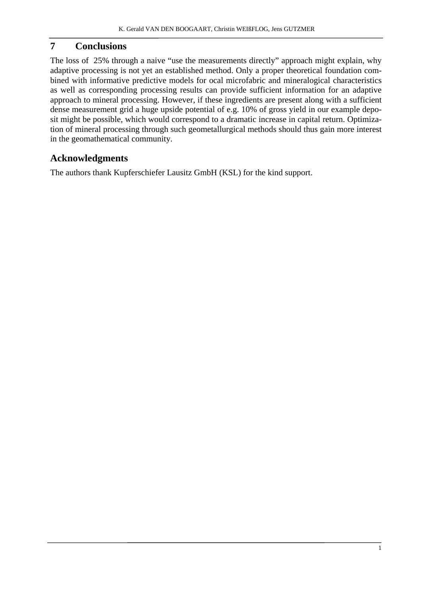## **7 Conclusions**

The loss of 25% through a naive "use the measurements directly" approach might explain, why adaptive processing is not yet an established method. Only a proper theoretical foundation combined with informative predictive models for ocal microfabric and mineralogical characteristics as well as corresponding processing results can provide sufficient information for an adaptive approach to mineral processing. However, if these ingredients are present along with a sufficient dense measurement grid a huge upside potential of e.g. 10% of gross yield in our example deposit might be possible, which would correspond to a dramatic increase in capital return. Optimization of mineral processing through such geometallurgical methods should thus gain more interest in the geomathematical community.

# **Acknowledgments**

The authors thank Kupferschiefer Lausitz GmbH (KSL) for the kind support.